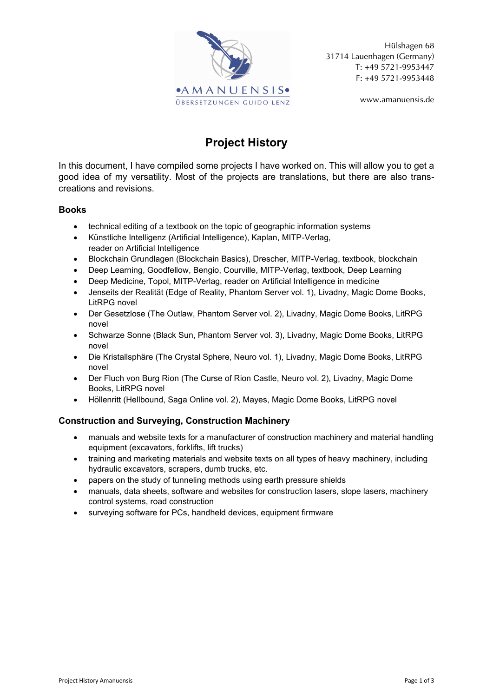

Hülshagen 68 31714 Lauenhagen (Germany) T: +49 5721-9953447 F: +49 5721-9953448

www.amanuensis.de

# **Project History**

In this document, I have compiled some projects I have worked on. This will allow you to get a good idea of my versatility. Most of the projects are translations, but there are also transcreations and revisions.

# **Books**

- technical editing of a textbook on the topic of geographic information systems
- Künstliche Intelligenz (Artificial Intelligence), Kaplan, MITP-Verlag, reader on Artificial Intelligence
- Blockchain Grundlagen (Blockchain Basics), Drescher, MITP-Verlag, textbook, blockchain
- Deep Learning, Goodfellow, Bengio, Courville, MITP-Verlag, textbook, Deep Learning
- Deep Medicine, Topol, MITP-Verlag, reader on Artificial Intelligence in medicine
- Jenseits der Realität (Edge of Reality, Phantom Server vol. 1), Livadny, Magic Dome Books, LitRPG novel
- Der Gesetzlose (The Outlaw, Phantom Server vol. 2), Livadny, Magic Dome Books, LitRPG novel
- Schwarze Sonne (Black Sun, Phantom Server vol. 3), Livadny, Magic Dome Books, LitRPG novel
- Die Kristallsphäre (The Crystal Sphere, Neuro vol. 1), Livadny, Magic Dome Books, LitRPG novel
- Der Fluch von Burg Rion (The Curse of Rion Castle, Neuro vol. 2), Livadny, Magic Dome Books, LitRPG novel
- Höllenritt (Hellbound, Saga Online vol. 2), Mayes, Magic Dome Books, LitRPG novel

# **Construction and Surveying, Construction Machinery**

- manuals and website texts for a manufacturer of construction machinery and material handling equipment (excavators, forklifts, lift trucks)
- training and marketing materials and website texts on all types of heavy machinery, including hydraulic excavators, scrapers, dumb trucks, etc.
- papers on the study of tunneling methods using earth pressure shields
- manuals, data sheets, software and websites for construction lasers, slope lasers, machinery control systems, road construction
- surveying software for PCs, handheld devices, equipment firmware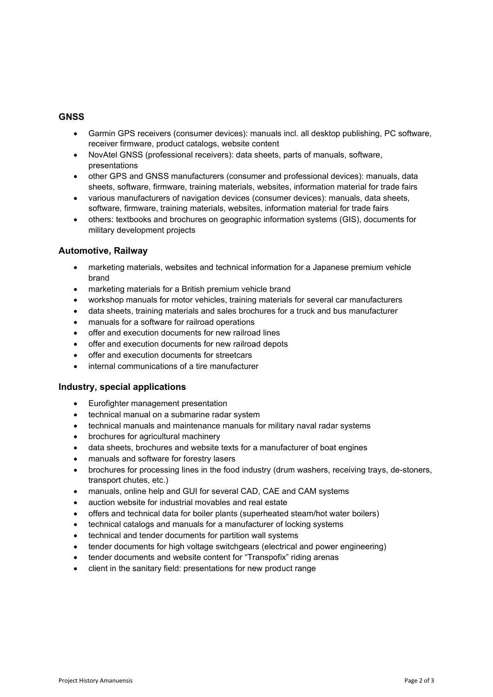## **GNSS**

- Garmin GPS receivers (consumer devices): manuals incl. all desktop publishing, PC software, receiver firmware, product catalogs, website content
- NovAtel GNSS (professional receivers): data sheets, parts of manuals, software, presentations
- other GPS and GNSS manufacturers (consumer and professional devices): manuals, data sheets, software, firmware, training materials, websites, information material for trade fairs
- various manufacturers of navigation devices (consumer devices): manuals, data sheets, software, firmware, training materials, websites, information material for trade fairs
- others: textbooks and brochures on geographic information systems (GIS), documents for military development projects

## **Automotive, Railway**

- marketing materials, websites and technical information for a Japanese premium vehicle brand
- marketing materials for a British premium vehicle brand
- workshop manuals for motor vehicles, training materials for several car manufacturers
- data sheets, training materials and sales brochures for a truck and bus manufacturer
- manuals for a software for railroad operations
- offer and execution documents for new railroad lines
- offer and execution documents for new railroad depots
- offer and execution documents for streetcars
- internal communications of a tire manufacturer

## **Industry, special applications**

- Eurofighter management presentation
- technical manual on a submarine radar system
- technical manuals and maintenance manuals for military naval radar systems
- brochures for agricultural machinery
- data sheets, brochures and website texts for a manufacturer of boat engines
- manuals and software for forestry lasers
- brochures for processing lines in the food industry (drum washers, receiving trays, de-stoners, transport chutes, etc.)
- manuals, online help and GUI for several CAD, CAE and CAM systems
- auction website for industrial movables and real estate
- offers and technical data for boiler plants (superheated steam/hot water boilers)
- technical catalogs and manuals for a manufacturer of locking systems
- technical and tender documents for partition wall systems
- tender documents for high voltage switchgears (electrical and power engineering)
- tender documents and website content for "Transpofix" riding arenas
- client in the sanitary field: presentations for new product range